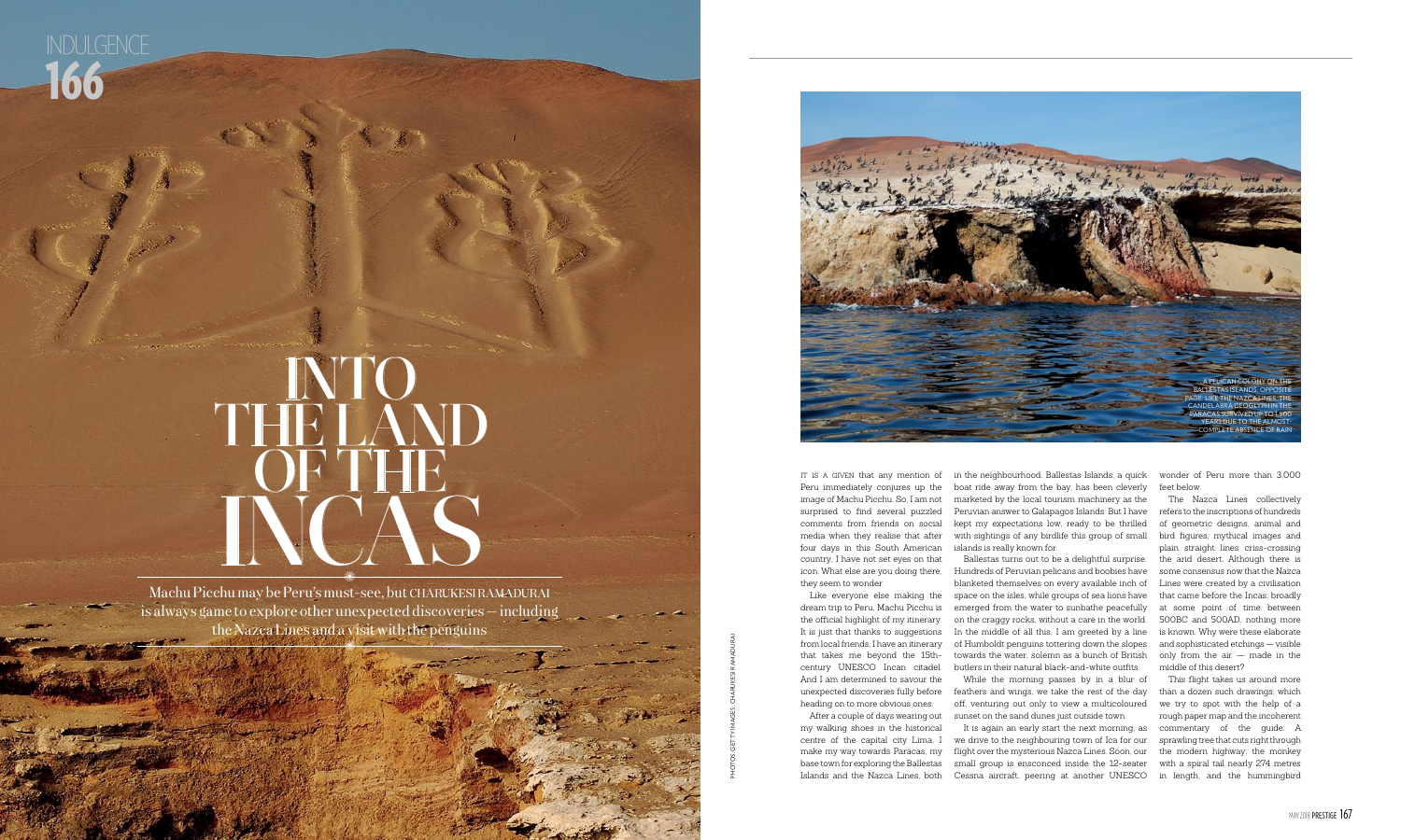in the neighbourhood. Ballestas Islands, a quick boat ride away from the bay, has been cleverly marketed by the local tourism machinery as the Peruvian answer to Galapagos Islands. But I have kept my expectations low, ready to be thrilled with sightings of any birdlife this group of small islands is really known for.

While the morning passes by in a blur of feathers and wings, we take the rest of the day off, venturing out only to view a multicoloured sunset on the sand dunes just outside town. It is again an early start the next morning, as we drive to the neighbouring town of Ica for our make my way towards Paracas, my flight over the mysterious Nazca Lines. Soon, our small group is ensconced inside the 12-seater Islands and the Nazca Lines, both Cessna aircraft, peering at another UNESCO in length, and the hummingbird

Ballestas turns out to be a delightful surprise: Hundreds of Peruvian pelicans and boobies have blanketed themselves on every available inch of space on the isles, while groups of sea lions have emerged from the water to sunbathe peacefully on the craggy rocks, without a care in the world. In the middle of all this, I am greeted by a line from local friends, I have an itinerary  $\quad$  of Humboldt penguins tottering down the slopes  $\;$ towards the water, solemn as a bunch of British butlers in their natural black-and-white outfits.

IT IS A GIVEN that any mention of Peru immediately conjures up the image of Machu Picchu. So, I am not surprised to find several puzzled comments from friends on social media when they realise that after four days in this South American country, I have not set eyes on that icon. What else are you doing there, they seem to wonder.

## Into THE LAND OF THE INCAS ×<br>\*

Machu Picchu may be Peru's must-see, but charukesiramadurai is always game to explore other unexpected discoveries — including the Nazca Lines and a visit with the penguins ×<br>\*

Like everyone else making the dream trip to Peru, Machu Picchu is the official highlight of my itinerary. It is just that thanks to suggestions that takes me beyond the 15thcentury UNESCO Incan citadel. And I am determined to savour the unexpected discoveries fully before heading on to more obvious ones.

After a couple of days wearing out my walking shoes in the historical centre of the capital city Lima, I base town for exploring the Ballestas

wonder of Peru more than 3,000 feet below.

The Nazca Lines collectively refers to the inscriptions of hundreds of geometric designs, animal and bird figures, mythical images and plain straight lines criss-crossing the arid desert. Although there is some consensus now that the Nazca Lines were created by a civilisation that came before the Incas, broadly at some point of time between 500BC and 500AD, nothing more is known. Why were these elaborate and sophisticated etchings — visible only from the air — made in the middle of this desert?

This flight takes us around more than a dozen such drawings, which we try to spot with the help of a rough paper map and the incoherent commentary of the guide: A sprawling tree that cuts right through the modern highway; the monkey with a spiral tail nearly 274 metres

PHOTOs: GETTY IMAGES; charukesi ramadurai



166